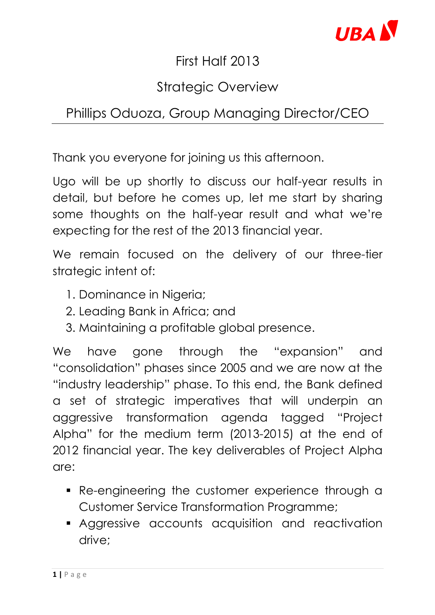

## First Half 2013

# Strategic Overview

# Phillips Oduoza, Group Managing Director/CEO

Thank you everyone for joining us this afternoon.

Ugo will be up shortly to discuss our half-year results in detail, but before he comes up, let me start by sharing some thoughts on the half-year result and what we're expecting for the rest of the 2013 financial year.

We remain focused on the delivery of our three-tier strategic intent of:

- 1. Dominance in Nigeria;
- 2. Leading Bank in Africa; and
- 3. Maintaining a profitable global presence.

We have gone through the "expansion" and "consolidation" phases since 2005 and we are now at the "industry leadership" phase. To this end, the Bank defined a set of strategic imperatives that will underpin an aggressive transformation agenda tagged "Project Alpha" for the medium term (2013-2015) at the end of 2012 financial year. The key deliverables of Project Alpha are:

- Re-engineering the customer experience through a Customer Service Transformation Programme;
- Aggressive accounts acquisition and reactivation drive;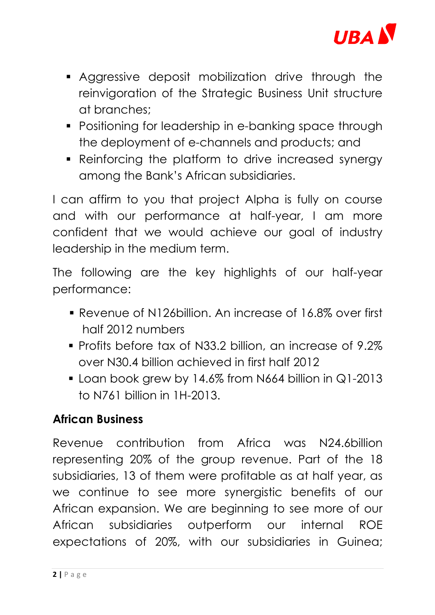

- Aggressive deposit mobilization drive through the reinvigoration of the Strategic Business Unit structure at branches;
- Positioning for leadership in e-banking space through the deployment of e-channels and products; and
- Reinforcing the platform to drive increased synergy among the Bank's African subsidiaries.

I can affirm to you that project Alpha is fully on course and with our performance at half-year, I am more confident that we would achieve our goal of industry leadership in the medium term.

The following are the key highlights of our half-year performance:

- Revenue of N126billion. An increase of 16.8% over first half 2012 numbers
- Profits before tax of N33.2 billion, an increase of 9.2% over N30.4 billion achieved in first half 2012
- **Loan book grew by 14.6% from N664 billion in Q1-2013** to N761 billion in 1H-2013.

### **African Business**

Revenue contribution from Africa was N24.6billion representing 20% of the group revenue. Part of the 18 subsidiaries, 13 of them were profitable as at half year, as we continue to see more synergistic benefits of our African expansion. We are beginning to see more of our African subsidiaries outperform our internal ROE expectations of 20%, with our subsidiaries in Guinea;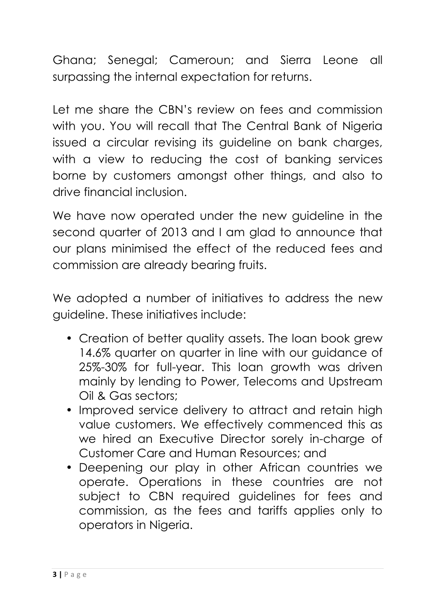Ghana; Senegal; Cameroun; and Sierra Leone all surpassing the internal expectation for returns.

Let me share the CBN's review on fees and commission with you. You will recall that The Central Bank of Nigeria issued a circular revising its guideline on bank charges, with a view to reducing the cost of banking services borne by customers amongst other things, and also to drive financial inclusion.

We have now operated under the new guideline in the second quarter of 2013 and I am glad to announce that our plans minimised the effect of the reduced fees and commission are already bearing fruits.

We adopted a number of initiatives to address the new guideline. These initiatives include:

- Creation of better quality assets. The loan book grew 14.6% quarter on quarter in line with our guidance of 25%-30% for full-year. This loan growth was driven mainly by lending to Power, Telecoms and Upstream Oil & Gas sectors;
- Improved service delivery to attract and retain high value customers. We effectively commenced this as we hired an Executive Director sorely in-charge of Customer Care and Human Resources; and
- Deepening our play in other African countries we operate. Operations in these countries are not subject to CBN required guidelines for fees and commission, as the fees and tariffs applies only to operators in Nigeria.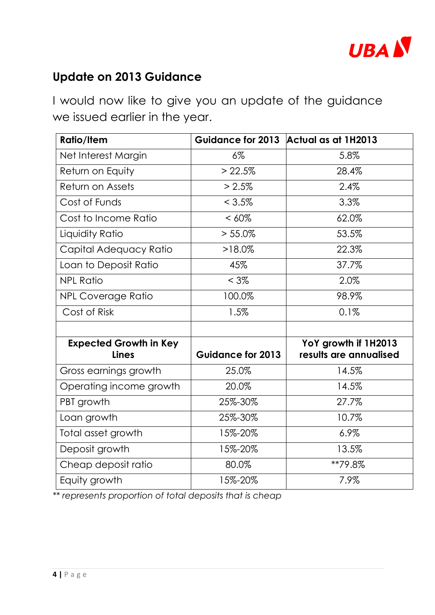

#### **Update on 2013 Guidance**

I would now like to give you an update of the guidance we issued earlier in the year.

| <b>Ratio/Item</b>                             |                          | Guidance for 2013 Actual as at 1H2013          |
|-----------------------------------------------|--------------------------|------------------------------------------------|
| Net Interest Margin                           | $6\%$                    | 5.8%                                           |
| Return on Equity                              | > 22.5%                  | 28.4%                                          |
| Return on Assets                              | > 2.5%                   | 2.4%                                           |
| Cost of Funds                                 | $< 3.5\%$                | 3.3%                                           |
| Cost to Income Ratio                          | $< 60\%$                 | 62.0%                                          |
| Liquidity Ratio                               | $> 55.0\%$               | 53.5%                                          |
| Capital Adequacy Ratio                        | $>18.0\%$                | 22.3%                                          |
| Loan to Deposit Ratio                         | 45%                      | 37.7%                                          |
| <b>NPL Ratio</b>                              | $< 3\%$                  | 2.0%                                           |
| <b>NPL Coverage Ratio</b>                     | 100.0%                   | 98.9%                                          |
| Cost of Risk                                  | 1.5%                     | 0.1%                                           |
|                                               |                          |                                                |
| <b>Expected Growth in Key</b><br><b>Lines</b> | <b>Guidance for 2013</b> | YoY growth if 1H2013<br>results are annualised |
| Gross earnings growth                         | 25.0%                    | 14.5%                                          |
| Operating income growth                       | 20.0%                    | 14.5%                                          |
| PBT growth                                    | 25%-30%                  | 27.7%                                          |
| Loan growth                                   | 25%-30%                  | 10.7%                                          |
| Total asset growth                            | 15%-20%                  | 6.9%                                           |
| Deposit growth                                | 15%-20%                  | 13.5%                                          |
| Cheap deposit ratio                           | 80.0%                    | **79.8%                                        |
| Equity growth                                 | 15%-20%                  | 7.9%                                           |

*\*\* represents proportion of total deposits that is cheap*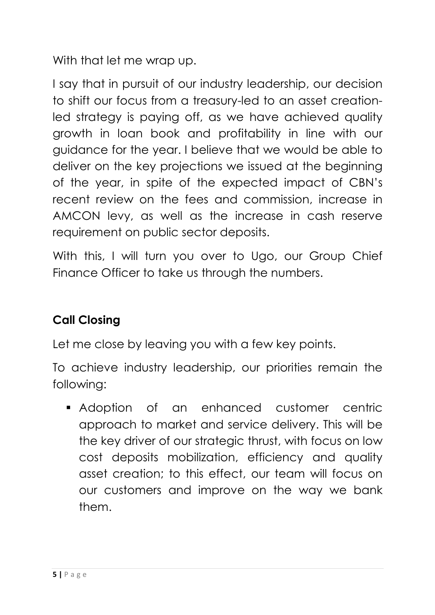With that let me wrap up.

I say that in pursuit of our industry leadership, our decision to shift our focus from a treasury-led to an asset creationled strategy is paying off, as we have achieved quality growth in loan book and profitability in line with our guidance for the year. I believe that we would be able to deliver on the key projections we issued at the beginning of the year, in spite of the expected impact of CBN's recent review on the fees and commission, increase in AMCON levy, as well as the increase in cash reserve requirement on public sector deposits.

With this, I will turn you over to Ugo, our Group Chief Finance Officer to take us through the numbers.

### **Call Closing**

Let me close by leaving you with a few key points.

To achieve industry leadership, our priorities remain the following:

 Adoption of an enhanced customer centric approach to market and service delivery. This will be the key driver of our strategic thrust, with focus on low cost deposits mobilization, efficiency and quality asset creation; to this effect, our team will focus on our customers and improve on the way we bank them.